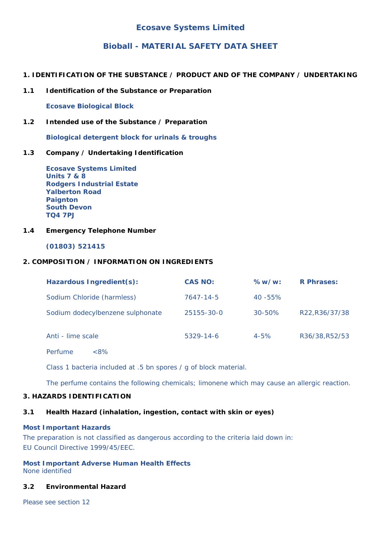# **Bioball - MATERIAL SAFETY DATA SHEET**

- **1. IDENTIFICATION OF THE SUBSTANCE / PRODUCT AND OF THE COMPANY / UNDERTAKING**
- **1.1 Identification of the Substance or Preparation**

**Ecosave Biological Block**

**1.2 Intended use of the Substance / Preparation**

**Biological detergent block for urinals & troughs**

## **1.3 Company / Undertaking Identification**

**Ecosave Systems Limited Units 7 & 8 Rodgers Industrial Estate Yalberton Road Paignton South Devon TQ4 7PJ**

### **1.4 Emergency Telephone Number**

**(01803) 521415**

#### **2. COMPOSITION / INFORMATION ON INGREDIENTS**

| Hazardous Ingredient(s):         | <b>CAS NO:</b>  | %w/w:       | <b>R</b> Phrases: |
|----------------------------------|-----------------|-------------|-------------------|
| Sodium Chloride (harmless)       | 7647-14-5       | $40 - 55\%$ |                   |
| Sodium dodecylbenzene sulphonate | 25155-30-0      | $30 - 50\%$ | R22, R36/37/38    |
| Anti - lime scale                | $5329 - 14 - 6$ | $4 - 5%$    | R36/38, R52/53    |

Perfume <8%

Class 1 bacteria included at .5 bn spores / g of block material.

The perfume contains the following chemicals; limonene which may cause an allergic reaction.

## **3. HAZARDS IDENTIFICATION**

### **3.1 Health Hazard (inhalation, ingestion, contact with skin or eyes)**

#### **Most Important Hazards**

The preparation is not classified as dangerous according to the criteria laid down in: EU Council Directive 1999/45/EEC.

**Most Important Adverse Human Health Effects** None identified

#### **3.2 Environmental Hazard**

Please see section 12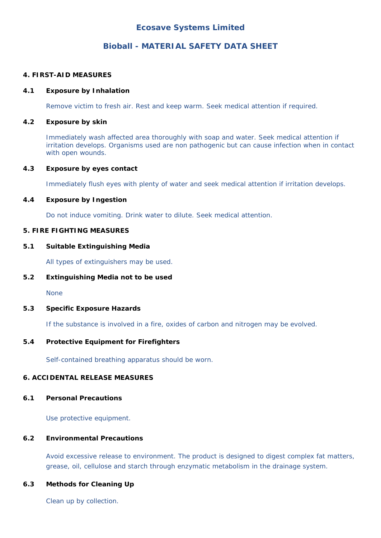# **Bioball - MATERIAL SAFETY DATA SHEET**

### **4. FIRST-AID MEASURES**

### **4.1 Exposure by Inhalation**

Remove victim to fresh air. Rest and keep warm. Seek medical attention if required.

## **4.2 Exposure by skin**

Immediately wash affected area thoroughly with soap and water. Seek medical attention if irritation develops. Organisms used are non pathogenic but can cause infection when in contact with open wounds.

## **4.3 Exposure by eyes contact**

Immediately flush eyes with plenty of water and seek medical attention if irritation develops.

## **4.4 Exposure by Ingestion**

Do not induce vomiting. Drink water to dilute. Seek medical attention.

## **5. FIRE FIGHTING MEASURES**

### **5.1 Suitable Extinguishing Media**

All types of extinguishers may be used.

### **5.2 Extinguishing Media not to be used**

None

### **5.3 Specific Exposure Hazards**

If the substance is involved in a fire, oxides of carbon and nitrogen may be evolved.

## **5.4 Protective Equipment for Firefighters**

Self-contained breathing apparatus should be worn.

## **6. ACCIDENTAL RELEASE MEASURES**

### **6.1 Personal Precautions**

Use protective equipment.

## **6.2 Environmental Precautions**

Avoid excessive release to environment. The product is designed to digest complex fat matters, grease, oil, cellulose and starch through enzymatic metabolism in the drainage system.

### **6.3 Methods for Cleaning Up**

Clean up by collection.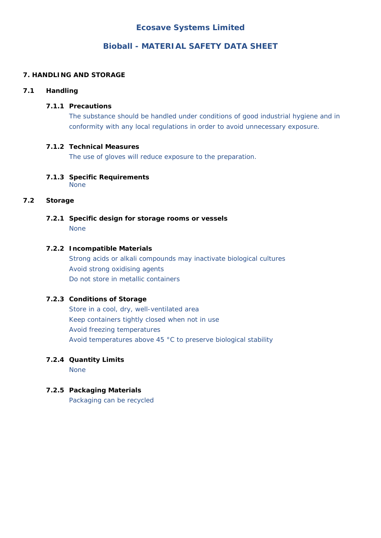# **Bioball - MATERIAL SAFETY DATA SHEET**

# **7. HANDLING AND STORAGE**

# **7.1 Handling**

# **7.1.1 Precautions**

 The substance should be handled under conditions of good industrial hygiene and in conformity with any local regulations in order to avoid unnecessary exposure.

## **7.1.2 Technical Measures**

The use of gloves will reduce exposure to the preparation.

#### **7.1.3 Specific Requirements** None

# **7.2 Storage**

**7.2.1 Specific design for storage rooms or vessels** None

## **7.2.2 Incompatible Materials**

 Strong acids or alkali compounds may inactivate biological cultures Avoid strong oxidising agents Do not store in metallic containers

## **7.2.3 Conditions of Storage**

 Store in a cool, dry, well-ventilated area Keep containers tightly closed when not in use Avoid freezing temperatures Avoid temperatures above 45 °C to preserve biological stability

# **7.2.4 Quantity Limits**

None

## **7.2.5 Packaging Materials**

Packaging can be recycled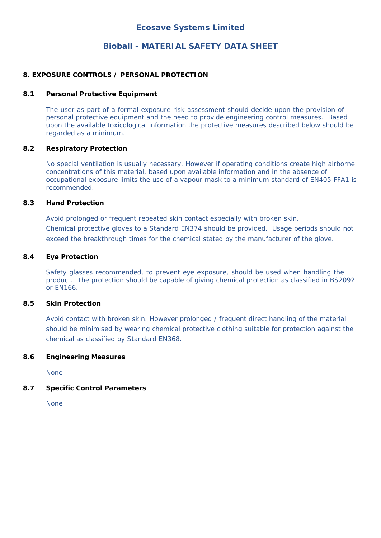# **Bioball - MATERIAL SAFETY DATA SHEET**

### **8. EXPOSURE CONTROLS / PERSONAL PROTECTION**

### **8.1 Personal Protective Equipment**

 The user as part of a formal exposure risk assessment should decide upon the provision of personal protective equipment and the need to provide engineering control measures. Based upon the available toxicological information the protective measures described below should be regarded as a minimum.

### **8.2 Respiratory Protection**

 No special ventilation is usually necessary. However if operating conditions create high airborne concentrations of this material, based upon available information and in the absence of occupational exposure limits the use of a vapour mask to a minimum standard of EN405 FFA1 is recommended.

### **8.3 Hand Protection**

 Avoid prolonged or frequent repeated skin contact especially with broken skin. Chemical protective gloves to a Standard EN374 should be provided. Usage periods should not exceed the breakthrough times for the chemical stated by the manufacturer of the glove.

## **8.4 Eye Protection**

Safety glasses recommended, to prevent eye exposure, should be used when handling the product. The protection should be capable of giving chemical protection as classified in BS2092 or EN166.

### **8.5 Skin Protection**

Avoid contact with broken skin. However prolonged / frequent direct handling of the material should be minimised by wearing chemical protective clothing suitable for protection against the chemical as classified by Standard EN368.

### **8.6 Engineering Measures**

None

### **8.7 Specific Control Parameters**

None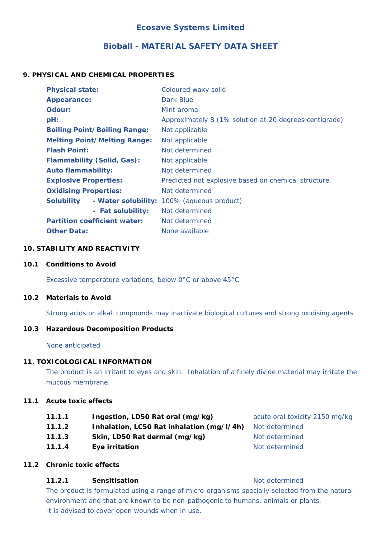# **Bioball - MATERIAL SAFETY DATA SHEET**

# **9. PHYSICAL AND CHEMICAL PROPERTIES**

| <b>Physical state:</b>              | Coloured waxy solid                                    |  |
|-------------------------------------|--------------------------------------------------------|--|
| Appearance:                         | Dark Blue                                              |  |
| Odour:                              | Mint aroma                                             |  |
| $pH$ :                              | Approximately 8 (1% solution at 20 degrees centigrade) |  |
| <b>Boiling Point/Boiling Range:</b> | Not applicable                                         |  |
| <b>Melting Point/Melting Range:</b> | Not applicable                                         |  |
| <b>Flash Point:</b>                 | Not determined                                         |  |
| <b>Flammability (Solid, Gas):</b>   | Not applicable                                         |  |
| <b>Auto flammability:</b>           | Not determined                                         |  |
| <b>Explosive Properties:</b>        | Predicted not explosive based on chemical structure.   |  |
| <b>Oxidising Properties:</b>        | Not determined                                         |  |
| <b>Solubility</b>                   | - Water solubility: 100% (aqueous product)             |  |
| - Fat solubility:                   | Not determined                                         |  |
| <b>Partition coefficient water:</b> | Not determined                                         |  |
| <b>Other Data:</b>                  | None available                                         |  |

## **10. STABILITY AND REACTIVITY**

### **10.1 Conditions to Avoid**

Excessive temperature variations, below 0°C or above 45°C

### **10.2 Materials to Avoid**

Strong acids or alkali compounds may inactivate biological cultures and strong oxidising agents

### **10.3 Hazardous Decomposition Products**

None anticipated

### **11. TOXICOLOGICAL INFORMATION**

 The product is an irritant to eyes and skin. Inhalation of a finely divide material may irritate the mucous membrane.

### **11.1 Acute toxic effects**

- **11.1.1 Ingestion, LD50 Rat oral (mg/kg)** acute oral toxicity 2150 mg/kg
- **11.1.2 Inhalation, LC50 Rat inhalation (mg/l/4h)** Not determined
- **11.1.3** Skin, LD50 Rat dermal (mg/kg) Not determined
- **11.1.4 Eye irritation Example 20 Allen Example 20 Allen Example 20 Allen Example 20 Allen Example 20 Allen Example 20 Allen Example 20 Allen Example 20 Allen Example 20 Allen Example 20 Allen Example 20 Allen Example 20**

## **11.2 Chronic toxic effects**

## **11.2.1 Sensitisation Not determined Not determined**

The product is formulated using a range of micro-organisms specially selected from the natural environment and that are known to be non-pathogenic to humans, animals or plants. It is advised to cover open wounds when in use.

- 
-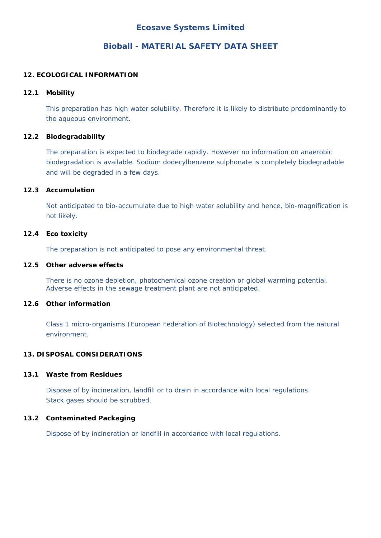# **Bioball - MATERIAL SAFETY DATA SHEET**

## **12. ECOLOGICAL INFORMATION**

### **12.1 Mobility**

 This preparation has high water solubility. Therefore it is likely to distribute predominantly to the aqueous environment.

## **12.2 Biodegradability**

 The preparation is expected to biodegrade rapidly. However no information on anaerobic biodegradation is available. Sodium dodecylbenzene sulphonate is completely biodegradable and will be degraded in a few days.

## **12.3 Accumulation**

 Not anticipated to bio-accumulate due to high water solubility and hence, bio-magnification is not likely.

## **12.4 Eco toxicity**

The preparation is not anticipated to pose any environmental threat.

### **12.5 Other adverse effects**

 There is no ozone depletion, photochemical ozone creation or global warming potential. Adverse effects in the sewage treatment plant are not anticipated.

### **12.6 Other information**

Class 1 micro-organisms (European Federation of Biotechnology) selected from the natural environment.

## **13. DISPOSAL CONSIDERATIONS**

### **13.1 Waste from Residues**

 Dispose of by incineration, landfill or to drain in accordance with local regulations. Stack gases should be scrubbed.

## **13.2 Contaminated Packaging**

Dispose of by incineration or landfill in accordance with local regulations.